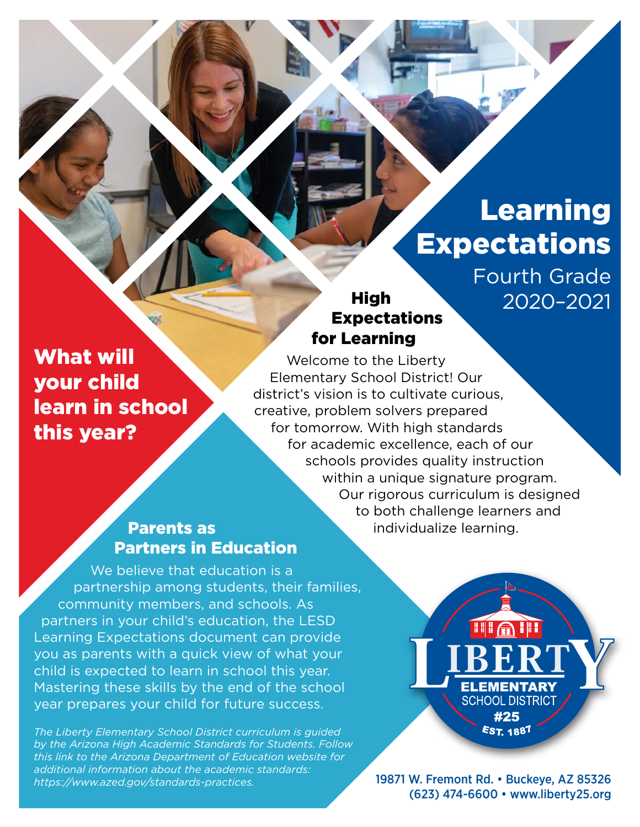# Learning Expectations

Fourth Grade 2020–2021

# Expectations for Learning

What will your child learn in school this year?

Welcome to the Liberty Elementary School District! Our district's vision is to cultivate curious, creative, problem solvers prepared for tomorrow. With high standards for academic excellence, each of our schools provides quality instruction within a unique signature program. Our rigorous curriculum is designed to both challenge learners and individualize learning.

High

### Parents as Partners in Education

We believe that education is a partnership among students, their families, community members, and schools. As partners in your child's education, the LESD Learning Expectations document can provide you as parents with a quick view of what your child is expected to learn in school this year. Mastering these skills by the end of the school year prepares your child for future success.

*The Liberty Elementary School District curriculum is guided by the Arizona High Academic Standards for Students. Follow this link to the Arizona Department of Education website for additional information about the academic standards: [https://www.azed.gov/standards-practices.](https://www.azed.gov/standards-practices)*

**TILATI ELEMENTARY SCHOOL DISTRICT** #25 **EST. 1887** 

19871 W. Fremont Rd. • Buckeye, AZ 85326 (623) 474-6600 • [www.liberty25.org](http://www.liberty25.org)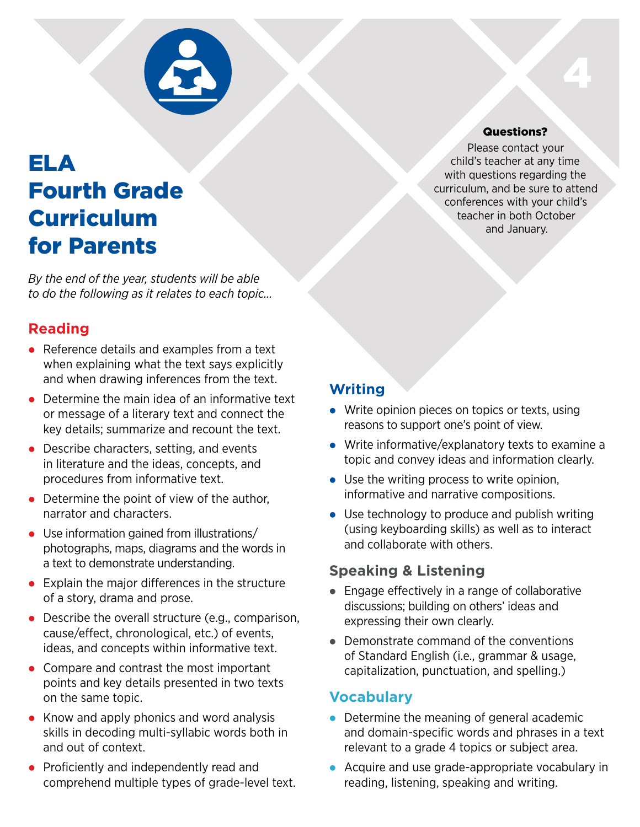

## ELA Fourth Grade Curriculum for Parents

*By the end of the year, students will be able to do the following as it relates to each topic…*

### **Reading**

- $\bullet$  Reference details and examples from a text when explaining what the text says explicitly and when drawing inferences from the text.
- $\bullet$  Determine the main idea of an informative text or message of a literary text and connect the key details; summarize and recount the text.
- $\bullet$  Describe characters, setting, and events in literature and the ideas, concepts, and procedures from informative text.
- $\bullet$  Determine the point of view of the author, narrator and characters.
- Use information gained from illustrations/ photographs, maps, diagrams and the words in a text to demonstrate understanding.
- $\bullet$  Explain the major differences in the structure of a story, drama and prose.
- $\bullet$  Describe the overall structure (e.g., comparison, cause/effect, chronological, etc.) of events, ideas, and concepts within informative text.
- $\bullet$  Compare and contrast the most important points and key details presented in two texts on the same topic.
- $\bullet$  Know and apply phonics and word analysis skills in decoding multi-syllabic words both in and out of context.
- Proficiently and independently read and comprehend multiple types of grade-level text.

#### Questions?

4

Please contact your child's teacher at any time with questions regarding the curriculum, and be sure to attend conferences with your child's teacher in both October and January.

### **Writing**

- $\bullet$  Write opinion pieces on topics or texts, using reasons to support one's point of view.
- $\bullet$  Write informative/explanatory texts to examine a topic and convey ideas and information clearly.
- $\bullet$  Use the writing process to write opinion, informative and narrative compositions.
- $\bullet$  Use technology to produce and publish writing (using keyboarding skills) as well as to interact and collaborate with others.

### **Speaking & Listening**

- $\bullet$  Engage effectively in a range of collaborative discussions; building on others' ideas and expressing their own clearly.
- $\bullet$  Demonstrate command of the conventions of Standard English (i.e., grammar & usage, capitalization, punctuation, and spelling.)

### **Vocabulary**

- $\bullet$  Determine the meaning of general academic and domain-specific words and phrases in a text relevant to a grade 4 topics or subject area.
- Acquire and use grade-appropriate vocabulary in reading, listening, speaking and writing.